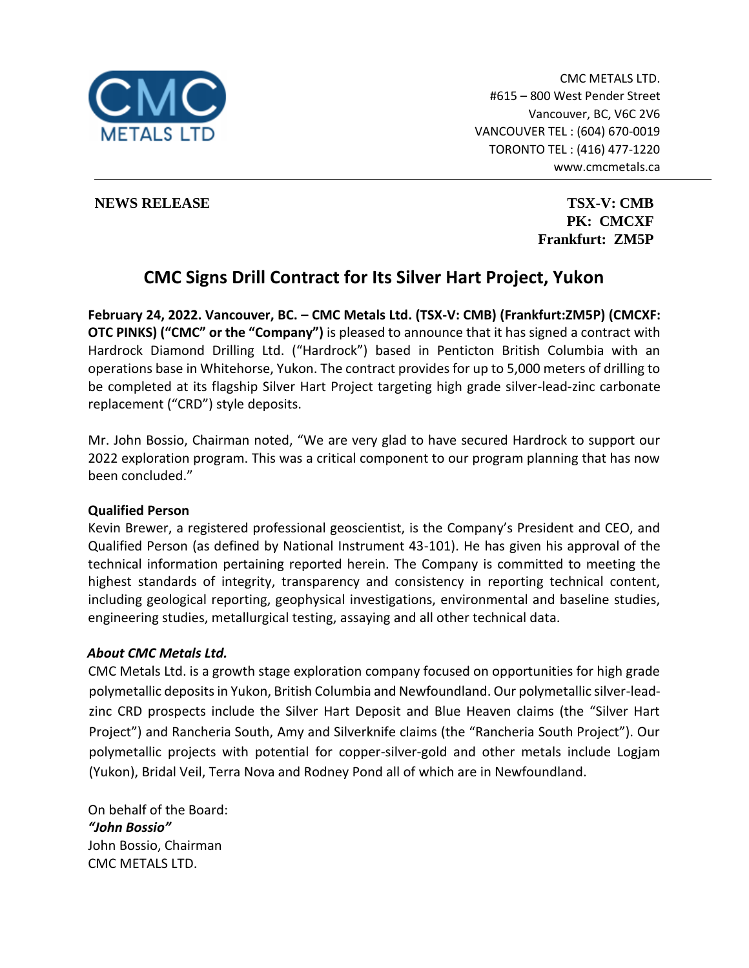

CMC METALS LTD. #615 – 800 West Pender Street Vancouver, BC, V6C 2V6 VANCOUVER TEL : (604) 670-0019 TORONTO TEL : (416) 477-1220 www.cmcmetals.ca

**NEWS RELEASE TSX-V: CMB** 

**PK: CMCXF Frankfurt: ZM5P**

# **CMC Signs Drill Contract for Its Silver Hart Project, Yukon**

**February 24, 2022. Vancouver, BC. – CMC Metals Ltd. (TSX-V: CMB) (Frankfurt:ZM5P) (CMCXF: OTC PINKS) ("CMC" or the "Company")** is pleased to announce that it has signed a contract with Hardrock Diamond Drilling Ltd. ("Hardrock") based in Penticton British Columbia with an operations base in Whitehorse, Yukon. The contract provides for up to 5,000 meters of drilling to be completed at its flagship Silver Hart Project targeting high grade silver-lead-zinc carbonate replacement ("CRD") style deposits.

Mr. John Bossio, Chairman noted, "We are very glad to have secured Hardrock to support our 2022 exploration program. This was a critical component to our program planning that has now been concluded."

#### **Qualified Person**

Kevin Brewer, a registered professional geoscientist, is the Company's President and CEO, and Qualified Person (as defined by National Instrument 43-101). He has given his approval of the technical information pertaining reported herein. The Company is committed to meeting the highest standards of integrity, transparency and consistency in reporting technical content, including geological reporting, geophysical investigations, environmental and baseline studies, engineering studies, metallurgical testing, assaying and all other technical data.

## *About CMC Metals Ltd.*

CMC Metals Ltd. is a growth stage exploration company focused on opportunities for high grade polymetallic deposits in Yukon, British Columbia and Newfoundland. Our polymetallic silver-leadzinc CRD prospects include the Silver Hart Deposit and Blue Heaven claims (the "Silver Hart Project") and Rancheria South, Amy and Silverknife claims (the "Rancheria South Project"). Our polymetallic projects with potential for copper-silver-gold and other metals include Logjam (Yukon), Bridal Veil, Terra Nova and Rodney Pond all of which are in Newfoundland.

On behalf of the Board: *"John Bossio"* John Bossio, Chairman CMC METALS LTD.